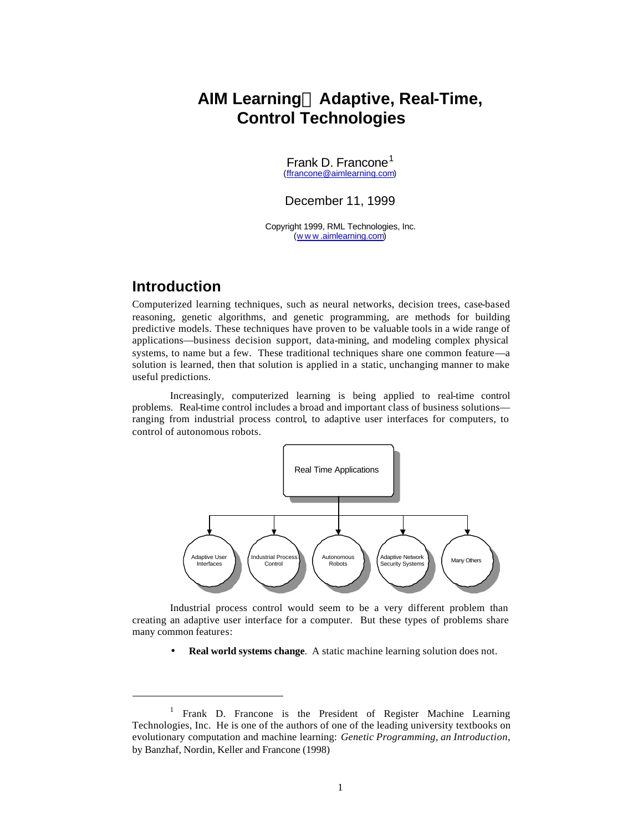# **AIM Learningä Adaptive, Real-Time, Control Technologies**

Frank D. Francone<sup>1</sup> (ffrancone@aimlearning.com)

December 11, 1999

Copyright 1999, RML Technologies, Inc. (www .aimlearning.com)

## **Introduction**

l

Computerized learning techniques, such as neural networks, decision trees, case-based reasoning, genetic algorithms, and genetic programming, are methods for building predictive models. These techniques have proven to be valuable tools in a wide range of applications—business decision support, data-mining, and modeling complex physical systems, to name but a few. These traditional techniques share one common feature—a solution is learned, then that solution is applied in a static, unchanging manner to make useful predictions.

Increasingly, computerized learning is being applied to real-time control problems. Real-time control includes a broad and important class of business solutions ranging from industrial process control, to adaptive user interfaces for computers, to control of autonomous robots.



Industrial process control would seem to be a very different problem than creating an adaptive user interface for a computer. But these types of problems share many common features:

• **Real world systems change**. A static machine learning solution does not.

<sup>1</sup> Frank D. Francone is the President of Register Machine Learning Technologies, Inc. He is one of the authors of one of the leading university textbooks on evolutionary computation and machine learning: *Genetic Programming, an Introduction*, by Banzhaf, Nordin, Keller and Francone (1998)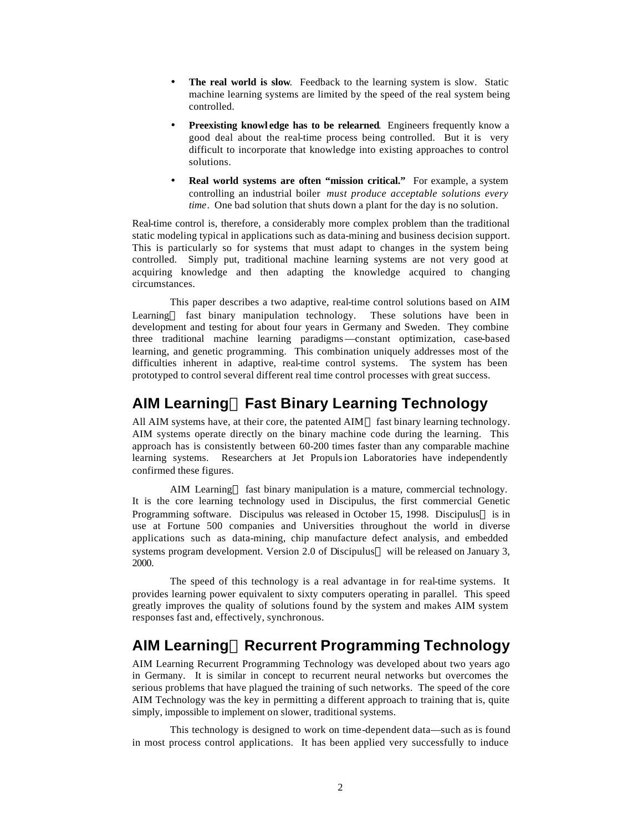- **The real world is slow.** Feedback to the learning system is slow. Static machine learning systems are limited by the speed of the real system being controlled.
- **Preexisting knowl edge has to be relearned**. Engineers frequently know a good deal about the real-time process being controlled. But it is very difficult to incorporate that knowledge into existing approaches to control solutions.
- **Real world systems are often "mission critical."** For example, a system controlling an industrial boiler *must produce acceptable solutions every time*. One bad solution that shuts down a plant for the day is no solution.

Real-time control is, therefore, a considerably more complex problem than the traditional static modeling typical in applications such as data-mining and business decision support. This is particularly so for systems that must adapt to changes in the system being controlled. Simply put, traditional machine learning systems are not very good at acquiring knowledge and then adapting the knowledge acquired to changing circumstances.

This paper describes a two adaptive, real-time control solutions based on AIM Learning<sup> $M$ </sup> fast binary manipulation technology. These solutions have been in development and testing for about four years in Germany and Sweden. They combine three traditional machine learning paradigms—constant optimization, case-based learning, and genetic programming. This combination uniquely addresses most of the difficulties inherent in adaptive, real-time control systems. The system has been prototyped to control several different real time control processes with great success.

# **AIM Learningä Fast Binary Learning Technology**

All AIM systems have, at their core, the patented  $\text{AIM}^{\text{TM}}$  fast binary learning technology. AIM systems operate directly on the binary machine code during the learning. This approach has is consistently between 60-200 times faster than any comparable machine learning systems. Researchers at Jet Propulsion Laboratories have independently confirmed these figures.

AIM Learning™ fast binary manipulation is a mature, commercial technology. It is the core learning technology used in Discipulus, the first commercial Genetic Programming software. Discipulus was released in October 15, 1998. Discipulus<sup>™</sup> is in use at Fortune 500 companies and Universities throughout the world in diverse applications such as data-mining, chip manufacture defect analysis, and embedded systems program development. Version 2.0 of Discipulus<sup> $m$ </sup> will be released on January 3, 2000.

The speed of this technology is a real advantage in for real-time systems. It provides learning power equivalent to sixty computers operating in parallel. This speed greatly improves the quality of solutions found by the system and makes AIM system responses fast and, effectively, synchronous.

# **AIM Learningä Recurrent Programming Technology**

AIM Learning Recurrent Programming Technology was developed about two years ago in Germany. It is similar in concept to recurrent neural networks but overcomes the serious problems that have plagued the training of such networks. The speed of the core AIM Technology was the key in permitting a different approach to training that is, quite simply, impossible to implement on slower, traditional systems.

This technology is designed to work on time-dependent data—such as is found in most process control applications. It has been applied very successfully to induce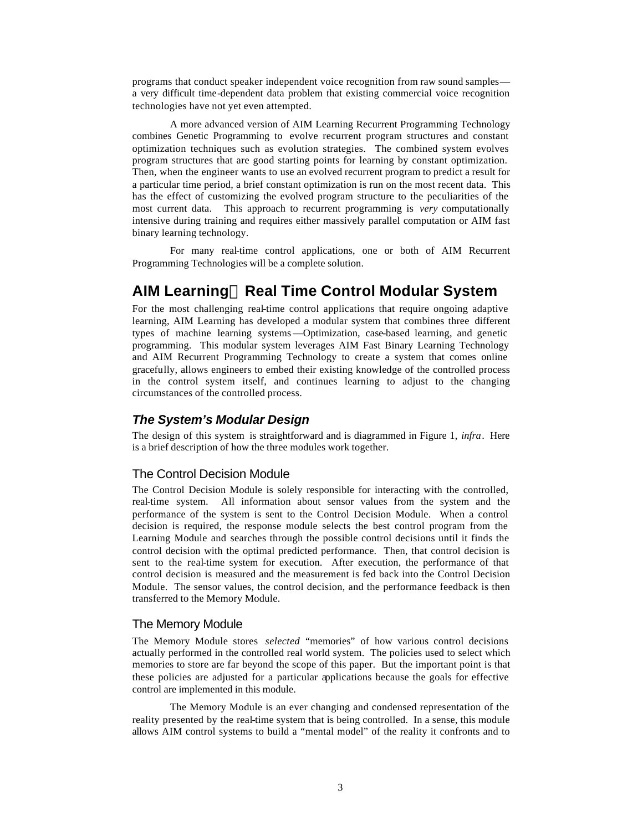programs that conduct speaker independent voice recognition from raw sound samples a very difficult time-dependent data problem that existing commercial voice recognition technologies have not yet even attempted.

A more advanced version of AIM Learning Recurrent Programming Technology combines Genetic Programming to evolve recurrent program structures and constant optimization techniques such as evolution strategies. The combined system evolves program structures that are good starting points for learning by constant optimization. Then, when the engineer wants to use an evolved recurrent program to predict a result for a particular time period, a brief constant optimization is run on the most recent data. This has the effect of customizing the evolved program structure to the peculiarities of the most current data. This approach to recurrent programming is *very* computationally intensive during training and requires either massively parallel computation or AIM fast binary learning technology.

For many real-time control applications, one or both of AIM Recurrent Programming Technologies will be a complete solution.

# **AIM Learningä Real Time Control Modular System**

For the most challenging real-time control applications that require ongoing adaptive learning, AIM Learning has developed a modular system that combines three different types of machine learning systems—Optimization, case-based learning, and genetic programming. This modular system leverages AIM Fast Binary Learning Technology and AIM Recurrent Programming Technology to create a system that comes online gracefully, allows engineers to embed their existing knowledge of the controlled process in the control system itself, and continues learning to adjust to the changing circumstances of the controlled process.

#### *The System's Modular Design*

The design of this system is straightforward and is diagrammed in Figure 1, *infra*. Here is a brief description of how the three modules work together.

#### The Control Decision Module

The Control Decision Module is solely responsible for interacting with the controlled, real-time system. All information about sensor values from the system and the performance of the system is sent to the Control Decision Module. When a control decision is required, the response module selects the best control program from the Learning Module and searches through the possible control decisions until it finds the control decision with the optimal predicted performance. Then, that control decision is sent to the real-time system for execution. After execution, the performance of that control decision is measured and the measurement is fed back into the Control Decision Module. The sensor values, the control decision, and the performance feedback is then transferred to the Memory Module.

#### The Memory Module

The Memory Module stores *selected* "memories" of how various control decisions actually performed in the controlled real world system. The policies used to select which memories to store are far beyond the scope of this paper. But the important point is that these policies are adjusted for a particular applications because the goals for effective control are implemented in this module.

The Memory Module is an ever changing and condensed representation of the reality presented by the real-time system that is being controlled. In a sense, this module allows AIM control systems to build a "mental model" of the reality it confronts and to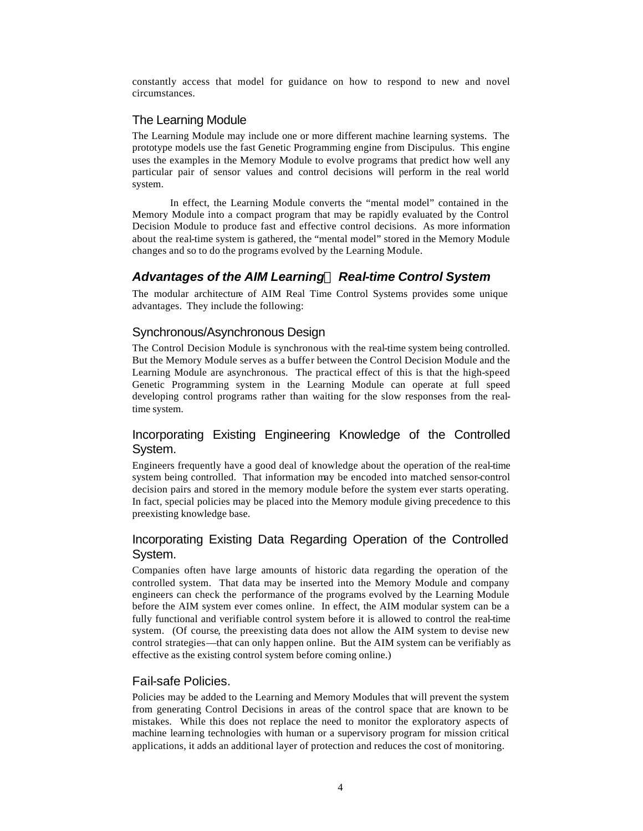constantly access that model for guidance on how to respond to new and novel circumstances.

#### The Learning Module

The Learning Module may include one or more different machine learning systems. The prototype models use the fast Genetic Programming engine from Discipulus. This engine uses the examples in the Memory Module to evolve programs that predict how well any particular pair of sensor values and control decisions will perform in the real world system.

In effect, the Learning Module converts the "mental model" contained in the Memory Module into a compact program that may be rapidly evaluated by the Control Decision Module to produce fast and effective control decisions. As more information about the real-time system is gathered, the "mental model" stored in the Memory Module changes and so to do the programs evolved by the Learning Module.

### *Advantages of the AIM Learningä Real-time Control System*

The modular architecture of AIM Real Time Control Systems provides some unique advantages. They include the following:

### Synchronous/Asynchronous Design

The Control Decision Module is synchronous with the real-time system being controlled. But the Memory Module serves as a buffer between the Control Decision Module and the Learning Module are asynchronous. The practical effect of this is that the high-speed Genetic Programming system in the Learning Module can operate at full speed developing control programs rather than waiting for the slow responses from the realtime system.

### Incorporating Existing Engineering Knowledge of the Controlled System.

Engineers frequently have a good deal of knowledge about the operation of the real-time system being controlled. That information may be encoded into matched sensor-control decision pairs and stored in the memory module before the system ever starts operating. In fact, special policies may be placed into the Memory module giving precedence to this preexisting knowledge base.

## Incorporating Existing Data Regarding Operation of the Controlled System.

Companies often have large amounts of historic data regarding the operation of the controlled system. That data may be inserted into the Memory Module and company engineers can check the performance of the programs evolved by the Learning Module before the AIM system ever comes online. In effect, the AIM modular system can be a fully functional and verifiable control system before it is allowed to control the real-time system. (Of course, the preexisting data does not allow the AIM system to devise new control strategies—that can only happen online. But the AIM system can be verifiably as effective as the existing control system before coming online.)

### Fail-safe Policies.

Policies may be added to the Learning and Memory Modules that will prevent the system from generating Control Decisions in areas of the control space that are known to be mistakes. While this does not replace the need to monitor the exploratory aspects of machine learning technologies with human or a supervisory program for mission critical applications, it adds an additional layer of protection and reduces the cost of monitoring.